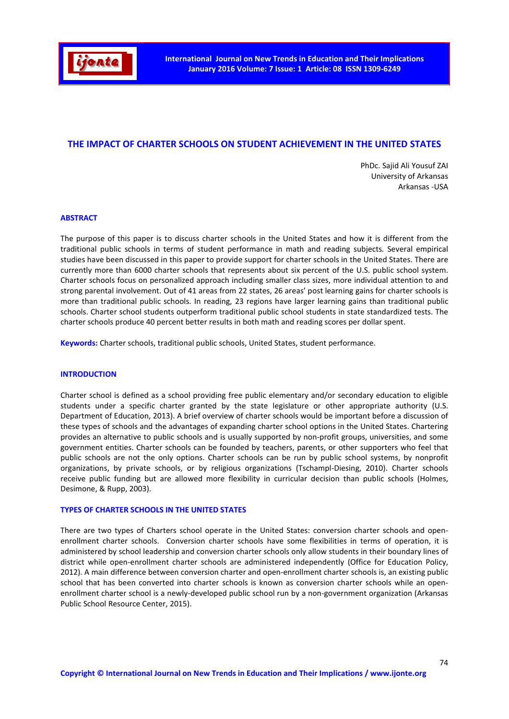

# THE IMPACT OF CHARTER SCHOOLS ON STUDENT ACHIEVEMENT IN THE UNITED STATES

PhDc. Sajid Ali Yousuf ZAI University of Arkansas Arkansas -USA

#### ABSTRACT

The purpose of this paper is to discuss charter schools in the United States and how it is different from the traditional public schools in terms of student performance in math and reading subjects. Several empirical studies have been discussed in this paper to provide support for charter schools in the United States. There are currently more than 6000 charter schools that represents about six percent of the U.S. public school system. Charter schools focus on personalized approach including smaller class sizes, more individual attention to and strong parental involvement. Out of 41 areas from 22 states, 26 areas' post learning gains for charter schools is more than traditional public schools. In reading, 23 regions have larger learning gains than traditional public schools. Charter school students outperform traditional public school students in state standardized tests. The charter schools produce 40 percent better results in both math and reading scores per dollar spent.

Keywords: Charter schools, traditional public schools, United States, student performance.

#### **INTRODUCTION**

Charter school is defined as a school providing free public elementary and/or secondary education to eligible students under a specific charter granted by the state legislature or other appropriate authority (U.S. Department of Education, 2013). A brief overview of charter schools would be important before a discussion of these types of schools and the advantages of expanding charter school options in the United States. Chartering provides an alternative to public schools and is usually supported by non-profit groups, universities, and some government entities. Charter schools can be founded by teachers, parents, or other supporters who feel that public schools are not the only options. Charter schools can be run by public school systems, by nonprofit organizations, by private schools, or by religious organizations (Tschampl-Diesing, 2010). Charter schools receive public funding but are allowed more flexibility in curricular decision than public schools (Holmes, Desimone, & Rupp, 2003).

#### TYPES OF CHARTER SCHOOLS IN THE UNITED STATES

There are two types of Charters school operate in the United States: conversion charter schools and openenrollment charter schools. Conversion charter schools have some flexibilities in terms of operation, it is administered by school leadership and conversion charter schools only allow students in their boundary lines of district while open-enrollment charter schools are administered independently (Office for Education Policy, 2012). A main difference between conversion charter and open-enrollment charter schools is, an existing public school that has been converted into charter schools is known as conversion charter schools while an openenrollment charter school is a newly-developed public school run by a non-government organization (Arkansas Public School Resource Center, 2015).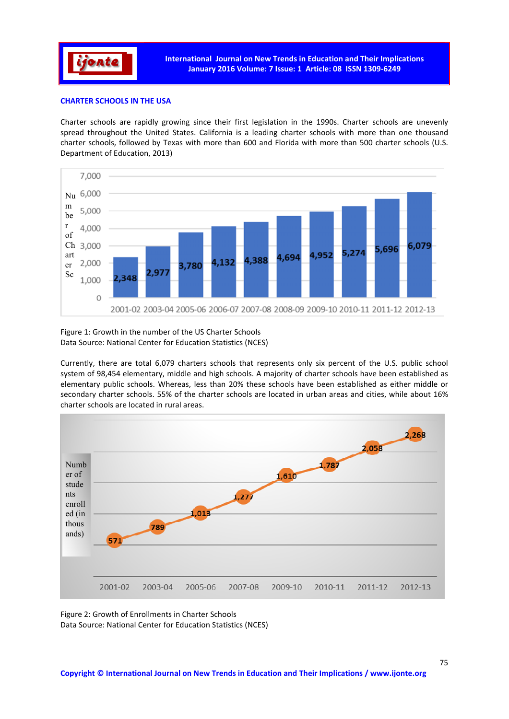

## CHARTER SCHOOLS IN THE USA

Charter schools are rapidly growing since their first legislation in the 1990s. Charter schools are unevenly spread throughout the United States. California is a leading charter schools with more than one thousand charter schools, followed by Texas with more than 600 and Florida with more than 500 charter schools (U.S. Department of Education, 2013)



Figure 1: Growth in the number of the US Charter Schools Data Source: National Center for Education Statistics (NCES)

Currently, there are total 6,079 charters schools that represents only six percent of the U.S. public school system of 98,454 elementary, middle and high schools. A majority of charter schools have been established as elementary public schools. Whereas, less than 20% these schools have been established as either middle or secondary charter schools. 55% of the charter schools are located in urban areas and cities, while about 16% charter schools are located in rural areas.



Figure 2: Growth of Enrollments in Charter Schools Data Source: National Center for Education Statistics (NCES)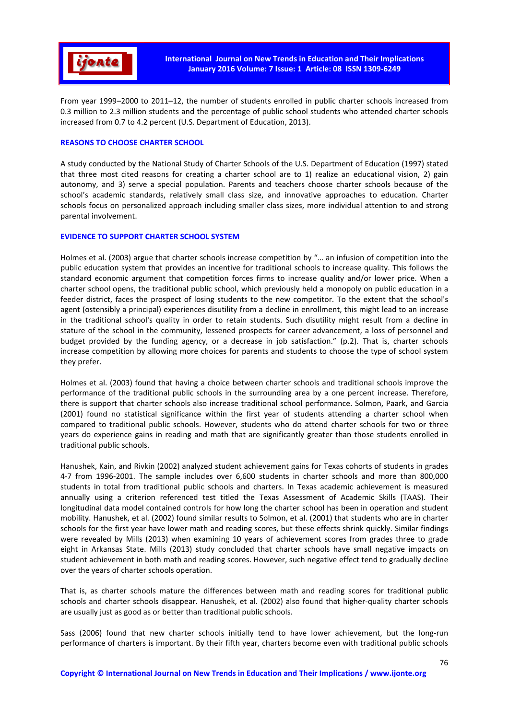

From year 1999–2000 to 2011–12, the number of students enrolled in public charter schools increased from 0.3 million to 2.3 million students and the percentage of public school students who attended charter schools increased from 0.7 to 4.2 percent (U.S. Department of Education, 2013).

### REASONS TO CHOOSE CHARTER SCHOOL

A study conducted by the National Study of Charter Schools of the U.S. Department of Education (1997) stated that three most cited reasons for creating a charter school are to 1) realize an educational vision, 2) gain autonomy, and 3) serve a special population. Parents and teachers choose charter schools because of the school's academic standards, relatively small class size, and innovative approaches to education. Charter schools focus on personalized approach including smaller class sizes, more individual attention to and strong parental involvement.

#### EVIDENCE TO SUPPORT CHARTER SCHOOL SYSTEM

Holmes et al. (2003) argue that charter schools increase competition by "… an infusion of competition into the public education system that provides an incentive for traditional schools to increase quality. This follows the standard economic argument that competition forces firms to increase quality and/or lower price. When a charter school opens, the traditional public school, which previously held a monopoly on public education in a feeder district, faces the prospect of losing students to the new competitor. To the extent that the school's agent (ostensibly a principal) experiences disutility from a decline in enrollment, this might lead to an increase in the traditional school's quality in order to retain students. Such disutility might result from a decline in stature of the school in the community, lessened prospects for career advancement, a loss of personnel and budget provided by the funding agency, or a decrease in job satisfaction." (p.2). That is, charter schools increase competition by allowing more choices for parents and students to choose the type of school system they prefer.

Holmes et al. (2003) found that having a choice between charter schools and traditional schools improve the performance of the traditional public schools in the surrounding area by a one percent increase. Therefore, there is support that charter schools also increase traditional school performance. Solmon, Paark, and Garcia (2001) found no statistical significance within the first year of students attending a charter school when compared to traditional public schools. However, students who do attend charter schools for two or three years do experience gains in reading and math that are significantly greater than those students enrolled in traditional public schools.

Hanushek, Kain, and Rivkin (2002) analyzed student achievement gains for Texas cohorts of students in grades 4-7 from 1996-2001. The sample includes over 6,600 students in charter schools and more than 800,000 students in total from traditional public schools and charters. In Texas academic achievement is measured annually using a criterion referenced test titled the Texas Assessment of Academic Skills (TAAS). Their longitudinal data model contained controls for how long the charter school has been in operation and student mobility. Hanushek, et al. (2002) found similar results to Solmon, et al. (2001) that students who are in charter schools for the first year have lower math and reading scores, but these effects shrink quickly. Similar findings were revealed by Mills (2013) when examining 10 years of achievement scores from grades three to grade eight in Arkansas State. Mills (2013) study concluded that charter schools have small negative impacts on student achievement in both math and reading scores. However, such negative effect tend to gradually decline over the years of charter schools operation.

That is, as charter schools mature the differences between math and reading scores for traditional public schools and charter schools disappear. Hanushek, et al. (2002) also found that higher-quality charter schools are usually just as good as or better than traditional public schools.

Sass (2006) found that new charter schools initially tend to have lower achievement, but the long-run performance of charters is important. By their fifth year, charters become even with traditional public schools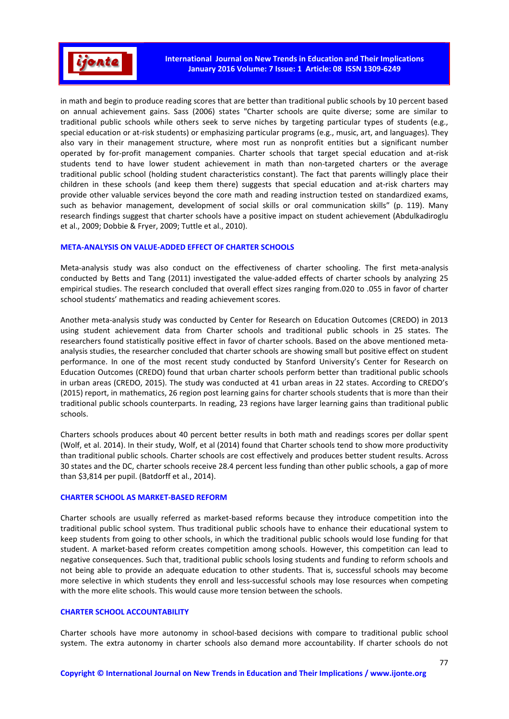

in math and begin to produce reading scores that are better than traditional public schools by 10 percent based on annual achievement gains. Sass (2006) states "Charter schools are quite diverse; some are similar to traditional public schools while others seek to serve niches by targeting particular types of students (e.g., special education or at-risk students) or emphasizing particular programs (e.g., music, art, and languages). They also vary in their management structure, where most run as nonprofit entities but a significant number operated by for-profit management companies. Charter schools that target special education and at-risk students tend to have lower student achievement in math than non-targeted charters or the average traditional public school (holding student characteristics constant). The fact that parents willingly place their children in these schools (and keep them there) suggests that special education and at-risk charters may provide other valuable services beyond the core math and reading instruction tested on standardized exams, such as behavior management, development of social skills or oral communication skills" (p. 119). Many research findings suggest that charter schools have a positive impact on student achievement (Abdulkadiroglu et al., 2009; Dobbie & Fryer, 2009; Tuttle et al., 2010).

#### META-ANALYSIS ON VALUE-ADDED EFFECT OF CHARTER SCHOOLS

Meta-analysis study was also conduct on the effectiveness of charter schooling. The first meta-analysis conducted by Betts and Tang (2011) investigated the value-added effects of charter schools by analyzing 25 empirical studies. The research concluded that overall effect sizes ranging from.020 to .055 in favor of charter school students' mathematics and reading achievement scores.

Another meta-analysis study was conducted by Center for Research on Education Outcomes (CREDO) in 2013 using student achievement data from Charter schools and traditional public schools in 25 states. The researchers found statistically positive effect in favor of charter schools. Based on the above mentioned metaanalysis studies, the researcher concluded that charter schools are showing small but positive effect on student performance. In one of the most recent study conducted by Stanford University's Center for Research on Education Outcomes (CREDO) found that urban charter schools perform better than traditional public schools in urban areas (CREDO, 2015). The study was conducted at 41 urban areas in 22 states. According to CREDO's (2015) report, in mathematics, 26 region post learning gains for charter schools students that is more than their traditional public schools counterparts. In reading, 23 regions have larger learning gains than traditional public schools.

Charters schools produces about 40 percent better results in both math and readings scores per dollar spent (Wolf, et al. 2014). In their study, Wolf, et al (2014) found that Charter schools tend to show more productivity than traditional public schools. Charter schools are cost effectively and produces better student results. Across 30 states and the DC, charter schools receive 28.4 percent less funding than other public schools, a gap of more than \$3,814 per pupil. (Batdorff et al., 2014).

#### CHARTER SCHOOL AS MARKET-BASED REFORM

Charter schools are usually referred as market-based reforms because they introduce competition into the traditional public school system. Thus traditional public schools have to enhance their educational system to keep students from going to other schools, in which the traditional public schools would lose funding for that student. A market-based reform creates competition among schools. However, this competition can lead to negative consequences. Such that, traditional public schools losing students and funding to reform schools and not being able to provide an adequate education to other students. That is, successful schools may become more selective in which students they enroll and less-successful schools may lose resources when competing with the more elite schools. This would cause more tension between the schools.

# CHARTER SCHOOL ACCOUNTABILITY

Charter schools have more autonomy in school-based decisions with compare to traditional public school system. The extra autonomy in charter schools also demand more accountability. If charter schools do not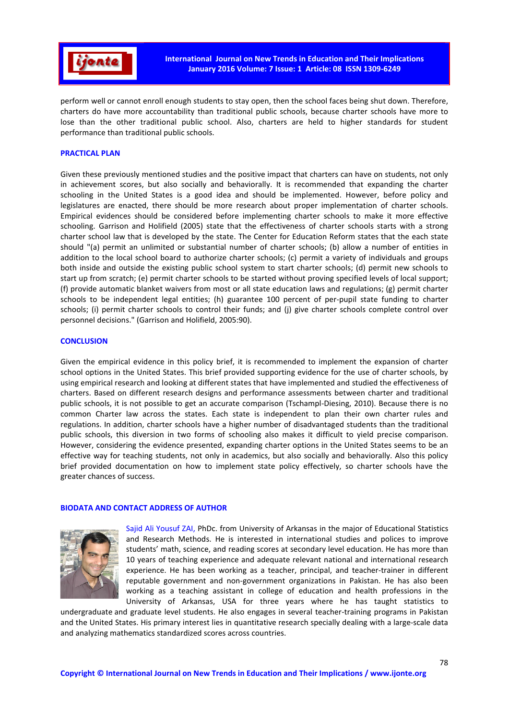

perform well or cannot enroll enough students to stay open, then the school faces being shut down. Therefore, charters do have more accountability than traditional public schools, because charter schools have more to lose than the other traditional public school. Also, charters are held to higher standards for student performance than traditional public schools.

### PRACTICAL PLAN

Given these previously mentioned studies and the positive impact that charters can have on students, not only in achievement scores, but also socially and behaviorally. It is recommended that expanding the charter schooling in the United States is a good idea and should be implemented. However, before policy and legislatures are enacted, there should be more research about proper implementation of charter schools. Empirical evidences should be considered before implementing charter schools to make it more effective schooling. Garrison and Holifield (2005) state that the effectiveness of charter schools starts with a strong charter school law that is developed by the state. The Center for Education Reform states that the each state should "(a) permit an unlimited or substantial number of charter schools; (b) allow a number of entities in addition to the local school board to authorize charter schools; (c) permit a variety of individuals and groups both inside and outside the existing public school system to start charter schools; (d) permit new schools to start up from scratch; (e) permit charter schools to be started without proving specified levels of local support; (f) provide automatic blanket waivers from most or all state education laws and regulations; (g) permit charter schools to be independent legal entities; (h) guarantee 100 percent of per-pupil state funding to charter schools; (i) permit charter schools to control their funds; and (j) give charter schools complete control over personnel decisions." (Garrison and Holifield, 2005:90).

#### **CONCLUSION**

Given the empirical evidence in this policy brief, it is recommended to implement the expansion of charter school options in the United States. This brief provided supporting evidence for the use of charter schools, by using empirical research and looking at different states that have implemented and studied the effectiveness of charters. Based on different research designs and performance assessments between charter and traditional public schools, it is not possible to get an accurate comparison (Tschampl-Diesing, 2010). Because there is no common Charter law across the states. Each state is independent to plan their own charter rules and regulations. In addition, charter schools have a higher number of disadvantaged students than the traditional public schools, this diversion in two forms of schooling also makes it difficult to yield precise comparison. However, considering the evidence presented, expanding charter options in the United States seems to be an effective way for teaching students, not only in academics, but also socially and behaviorally. Also this policy brief provided documentation on how to implement state policy effectively, so charter schools have the greater chances of success.

#### BIODATA AND CONTACT ADDRESS OF AUTHOR



Sajid Ali Yousuf ZAI, PhDc. from University of Arkansas in the major of Educational Statistics and Research Methods. He is interested in international studies and polices to improve students' math, science, and reading scores at secondary level education. He has more than 10 years of teaching experience and adequate relevant national and international research experience. He has been working as a teacher, principal, and teacher-trainer in different reputable government and non-government organizations in Pakistan. He has also been working as a teaching assistant in college of education and health professions in the University of Arkansas, USA for three years where he has taught statistics to

undergraduate and graduate level students. He also engages in several teacher-training programs in Pakistan and the United States. His primary interest lies in quantitative research specially dealing with a large-scale data and analyzing mathematics standardized scores across countries.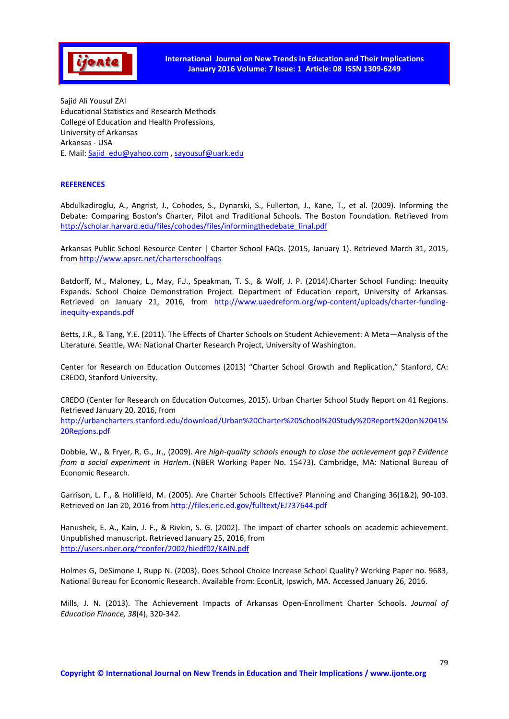

Sajid Ali Yousuf ZAI Educational Statistics and Research Methods College of Education and Health Professions, University of Arkansas Arkansas - USA E. Mail: Sajid\_edu@yahoo.com , sayousuf@uark.edu

### **REFERENCES**

Abdulkadiroglu, A., Angrist, J., Cohodes, S., Dynarski, S., Fullerton, J., Kane, T., et al. (2009). Informing the Debate: Comparing Boston's Charter, Pilot and Traditional Schools. The Boston Foundation. Retrieved from http://scholar.harvard.edu/files/cohodes/files/informingthedebate\_final.pdf

Arkansas Public School Resource Center | Charter School FAQs. (2015, January 1). Retrieved March 31, 2015, from http://www.apsrc.net/charterschoolfaqs

Batdorff, M., Maloney, L., May, F.J., Speakman, T. S., & Wolf, J. P. (2014).Charter School Funding: Inequity Expands. School Choice Demonstration Project. Department of Education report, University of Arkansas. Retrieved on January 21, 2016, from http://www.uaedreform.org/wp-content/uploads/charter-fundinginequity-expands.pdf

Betts, J.R., & Tang, Y.E. (2011). The Effects of Charter Schools on Student Achievement: A Meta—Analysis of the Literature. Seattle, WA: National Charter Research Project, University of Washington.

Center for Research on Education Outcomes (2013) "Charter School Growth and Replication," Stanford, CA: CREDO, Stanford University.

CREDO (Center for Research on Education Outcomes, 2015). Urban Charter School Study Report on 41 Regions. Retrieved January 20, 2016, from http://urbancharters.stanford.edu/download/Urban%20Charter%20School%20Study%20Report%20on%2041% 20Regions.pdf

Dobbie, W., & Fryer, R. G., Jr., (2009). *Are high-quality schools enough to close the achievement gap? Evidence from a social experiment in Harlem*. (NBER Working Paper No. 15473). Cambridge, MA: National Bureau of Economic Research.

Garrison, L. F., & Holifield, M. (2005). Are Charter Schools Effective? Planning and Changing 36(1&2), 90-103. Retrieved on Jan 20, 2016 from http://files.eric.ed.gov/fulltext/EJ737644.pdf

Hanushek, E. A., Kain, J. F., & Rivkin, S. G. (2002). The impact of charter schools on academic achievement. Unpublished manuscript. Retrieved January 25, 2016, from http://users.nber.org/~confer/2002/hiedf02/KAIN.pdf

Holmes G, DeSimone J, Rupp N. (2003). Does School Choice Increase School Quality? Working Paper no. 9683, National Bureau for Economic Research. Available from: EconLit, Ipswich, MA. Accessed January 26, 2016.

Mills, J. N. (2013). The Achievement Impacts of Arkansas Open-Enrollment Charter Schools. *Journal of Education Finance, 38*(4), 320-342.